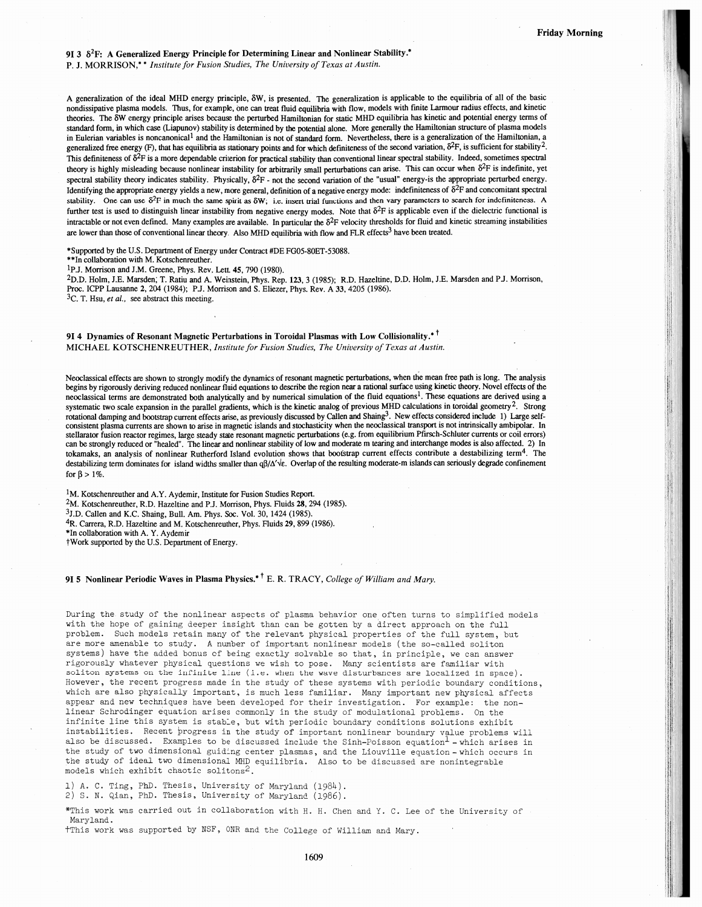9I 3  $\delta^2$ F: A Generalized Energy Principle for Determining Linear and Nonlinear Stability.\*

P. J. MORRISON,\*\* Institute for Fusion Studies, The University of Texas at Austin.

<sup>A</sup> generalization of the ideal MHD energy principle, 8W, is presented. The generalization is applicable to the equilibria of all of the basic nondissipative <sup>p</sup>lasma models. Thus, for example, one can treat fluid equilibria with flow, models with fmite Larmour radius effects, and kinetic theories. The 6W energy principle arises because the perturbed Hamiltonian for static MHD equilibria has kinetic and potential energy terms of standard form, in which case (Liapunov) stability is determined by the potential alone. More generally the Hamiltonian siructure of <sup>p</sup>lasma models in Eulerian variables is noncanonical<sup>1</sup> and the Hamiltonian is not of standard form. Nevertheless, there is a generalization of the Hamiltonian, a generalized free energy (F), that has equilibria as stationary points and for which definiteness of the second variation,  $\delta^2$ F, is sufficient for stability<sup>2</sup>. This definiteness of  $\delta^2F$  is a more dependable criterion for practical stability than conventional linear spectral stability. Indeed, sometimes spectral theory is highly misleading because nonlinear instability for arbitrarily small perturbations can arise. This can occur when  $\delta^2 F$  is indefinite, yet spectral stability theory indicates stability. Physically,  $\delta^2F$  - not the second variation of the "usual" energy-is the appropriate perturbed energy. Identifying the appropriate energy yields a new, more general, definition of a negative energy mode: indefiniteness of  $\delta^2F$  and concomitant spectral stability. One can use  $\delta^2$ F in much the same spirit as  $\delta W$ ; i.e. insert trial functions and then vary parameters to search for indefiniteness. A further test is used to distinguish linear instability from negative energy modes. Note that  $\delta^2F$  is applicable even if the dielectric functional is intractable or not even defined. Many examples are available. In particular the  $\delta^2F$  velocity thresholds for fluid and kinetic streaming instabilities are lower than those of conventional linear theory. Also MHD equilibria with flow and FLR effects<sup>3</sup> have been treated.

\*Supported by the U.S. Department of Energy under Contract #DE FG05-80ET-53088.

\*\*In collaboration with M. Kotschenreuther.

1p.J. Morrison and 3M. Greene, Phys. Rev. Lett. 45, 790 (1980).

2DD Hoim, J.E. Marsden, T. Ratiu and A. Weinstein, Phys. Rep. 123, <sup>3</sup> (1985); RD. Hazeltine, D.D. Holm, J.E. Marsden and PJ. Morrison, Proc. ICPP Lausanne 2, 204 (1984); PJ. Morrison and S. Eliezer, Phys. Rev. <sup>A</sup> 33, 4205 (1986).

 ${}^{3}C$ . T. Hsu, et al., see abstract this meeting.

914 Dynamics of Resonant Magnetic Perturbations in Toroidal Plasmas with Low Collisionality.<sup>\*†</sup> MICHAEL KOTSCHENREUTHER, Institute for Fusion Studies, The University of Texas at Austin.

Neoclassical effects are shown to strongly modify the dynamics of resonant magnetic perturbations, when the mean free path is long. The analysis begins by rigorously deriving reduced nonlinear fluid equations to describe the region near <sup>a</sup> rational surface using kinetic theory. Novel effects of the neoclassical terms are demonstrated both analytically and by numerical simulation of the fluid equations<sup>1</sup>. These equations are derived using a systematic two scale expansion in the parallel gradients, which is the kinetic analog of previous MHD calculations in toroidal geometry<sup>2</sup>. Strong otational damping and bootstrap current effects arise, as previously discussed by Callen and Shaing<sup>3</sup>. New effects considered include 1) Large self-<br>consistent plasma currents are shown to arise in magnetic islands and st stellarator fusion reactor regimes, large steady state resonant magnetic perturbations (e.g. from equilibrium Pfirsch-Schluter currents or coil errors) can be strongly reduced or "healed". The linear and nonlinear stability of low and moderate <sup>m</sup> tearing and interchange modes is also affected. 2) In tokamaks, an analysis of nonlinear Rutherford Island evolution shows that bootstrap current effects contribute a destabilizing term<sup>4</sup>. The destabilizing term dominates for island widths smaller than  $\frac{a}{d\alpha}$ . Overlap of the resulting moderate-m islands can seriously degrade confinement for  $\beta > 1\%$ .

<sup>1</sup>M. Kotschenreuther and A.Y. Aydemir, Institute for Fusion Studies Report.

<sup>2</sup>M. Kotschenreuther, R.D. Hazeltine and P.J. Morrison, Phys. Fluids 28, 294 (1985).

 $3J.D.$  Callen and K.C. Shaing, Bull. Am. Phys. Soc. Vol. 30, 1424 (1985).

4R. Carrera, RD. Hazeltine and M. Kotschenreuther, Phys. fluids 29, 899 (1986).

In collaboration with A. Y. Aydemir<br>Work supported by the U.S. Department of Energy.

## 91.5 Nonlinear Periodic Waves in Plasma Physics.<sup>\*†</sup> E. R. TRACY, College of William and Mary.

During the study of the nonlinear aspects of <sup>p</sup>lasma behavior one often turns to simplified nodels with the hope of gaining deeper insight than can be gotten by <sup>a</sup> direct approac<sup>h</sup> on the full problen. Such models retain many of the relevant <sup>p</sup>hysical properties of the full system, but are more amenable to study. <sup>A</sup> number of important nonlinear models (the so-called soliton systems) have the added bonus of being exactly solvable so that, in principle, we can answer rigorously whatever physical questions we wish to pose. Many scientists are familiar with soliton systems on the infinite line (i,e. when the wave disturbances are localized in space). However, the recent progress made in the study of these systems with periodic boundary conditions, which are also <sup>p</sup>hysically important, is much less familiar. Many important new <sup>p</sup>hysical affects appear and new techniques have been developed for their investigation. For example: the nonlinear Schrodinger equation arises commonly in the study of modulational problems. On the infinite line this system is stable, but with periodic boundary conditions solutions exhibit instabilities. Recent progress in the study of important nonlinear boundary value problems will also be discussed. Examples to be discussed include the Sinh-Poisson equation<sup>1</sup> - which arises in the study of two dimensional guiding center plasmas, and the Liouville equation - which occurs in the study of ideal two dimensional MHD equilibria. Also to be discussed are nonintegrable models which exhibit chaotic solitons<sup>2</sup>.

1) A. C. Ting, PhD. Thesis, University of Maryland (1984). 2) s. N. aian, PhD. Thesis, University of Maryland (1986).

\*This work was carried out in collaboration with H. H. Chen and Y. C. Lee of the University of Maryland.

tThis work was supported by NSF, ONR and the College of William and Mary.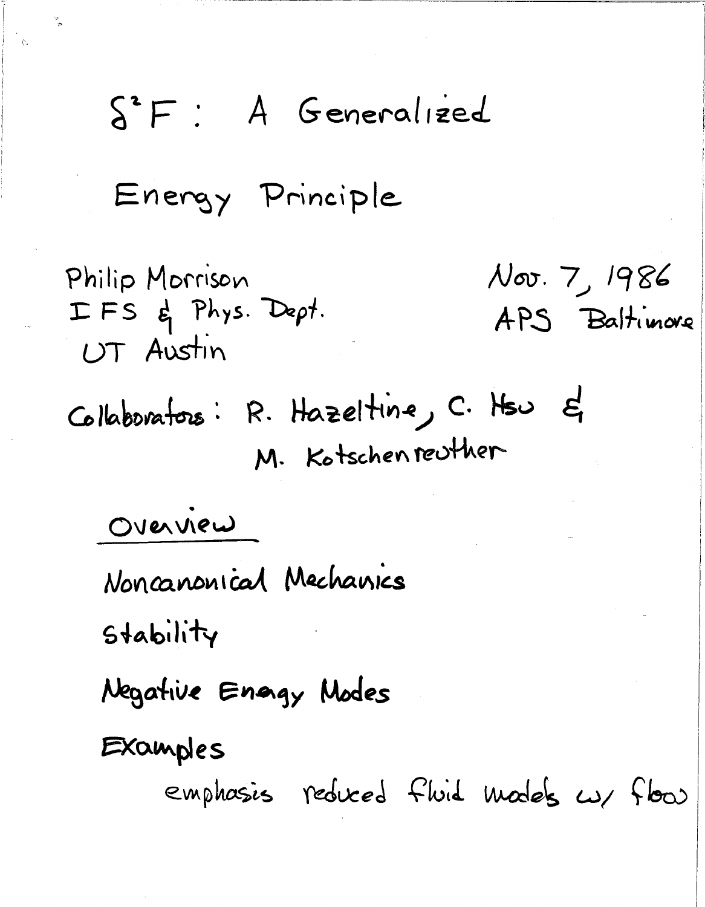## A Generalized  $S^2F$ :

Energy Principle

Nov. 7, 1986 Philip Morrison IFS & Phys. Dept. APS Baltimore UT Austin Collaborators: R. Hazeltine, C. Hsu &

M. Kotschenreuther

OVERVIEW

Noncanonical Mechanics

Stability

Negative Enggy Modes

Examples

emphasis reduced fluid models  $\omega$  flow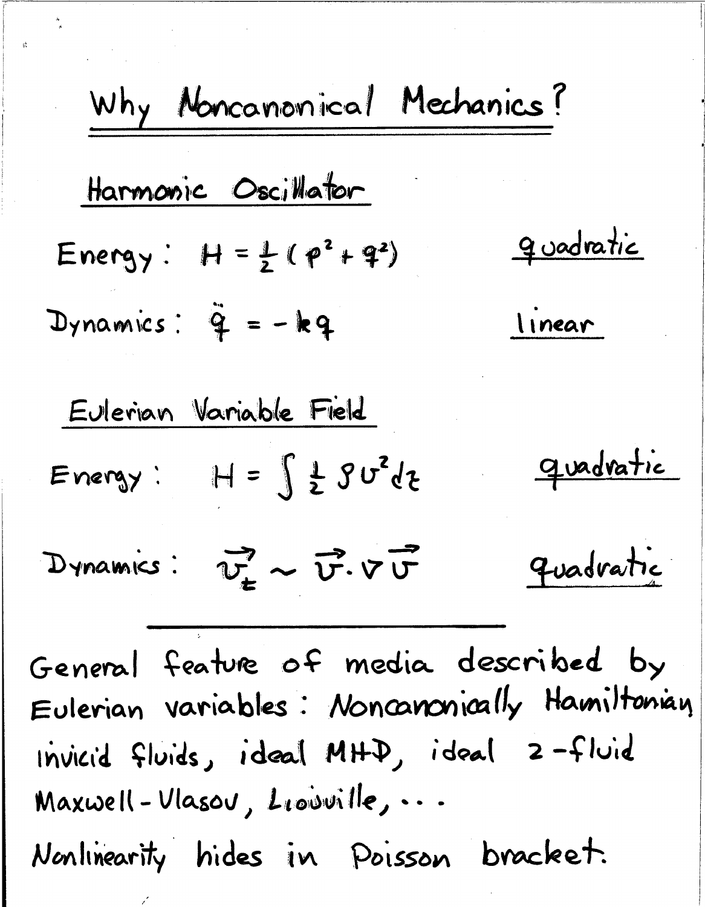| Why Moncanonical Mechanics?                                                               |           |
|-------------------------------------------------------------------------------------------|-----------|
| Harmonic Oscillator                                                                       |           |
| Energy: $H = \frac{1}{2}(p^2 + 4^2)$                                                      | Quadratic |
| Dynamics: $\tilde{q} = -kq$                                                               | Linear    |
| Eulerian Variable Field                                                                   |           |
| Energy: $H = \int \frac{1}{2} \sqrt{3} \sigma^2 d\tau$                                    | Quadratic |
| Dynamics: $\overrightarrow{v_{\pm}} \sim \overrightarrow{v^2} \cdot \overrightarrow{v^2}$ | Quadratic |
| General Feature of media described by                                                     |           |
| Eulerian variables: Monaromially Hamiltonian                                              |           |
| Invical fluids, ideal MHD, ideal 2-fold                                                   |           |
| Maxwell-Ulasou, Liovville, ...                                                            |           |
| Monlinearity hides in Poisson bracket.                                                    |           |

 $\frac{1}{\delta}$ 

 $\vec{\omega}$ 

 $\sim$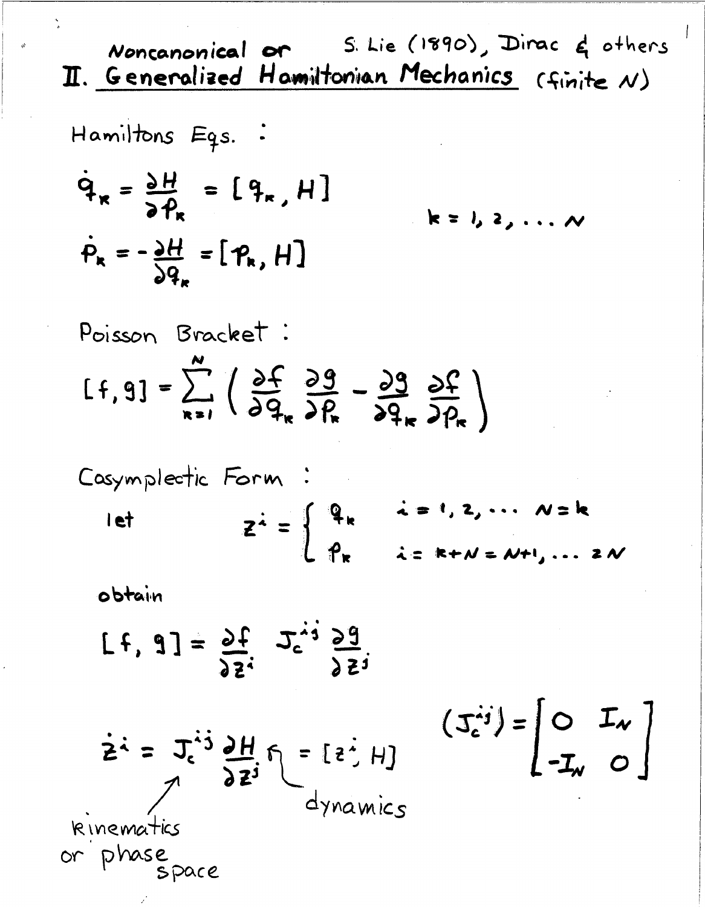S. Lie (1890), Dirac & others Noncanonical or II. Generalized Hamiltonian Mechanics (finite N) Hamiltons Egs. :  $\dot{q}_x = \frac{\partial H}{\partial p} = [q_x, H]$  $k = 1, 2, \ldots N$  $\dot{P}_k = -\frac{\partial H}{\partial q} = [P_k, H]$ Poisson Bracket:  $[f, 9] = \sum_{1}^{x} \left( \frac{\partial f}{\partial q} \frac{\partial g}{\partial R} - \frac{\partial g}{\partial q} \frac{\partial f}{\partial R} \right)$ Casymplectic Form  $z^{\frac{1}{2}} = \begin{cases} q_{k} & \text{if } i, 2, \dots, N = k \\ p_{k} & \text{if } i = 1, \dots \end{cases}$ let  $i = k+N = N+1, \ldots 2N$ obtain  $[t, 3] = \frac{33!}{9!}$   $2^{51}$   $3^{51}$ 

 $(\mathcal{I}_{c}^{ij}) = \begin{vmatrix} 0 & \mathcal{I}_{v} \\ -\mathcal{I}_{w} & 0 \end{vmatrix}$ 

 $\dot{z} = J_c^{ij} \frac{\partial H}{\partial z^j} f = [z^i, H]$ <br>dynamics

kinematics or phase<br>space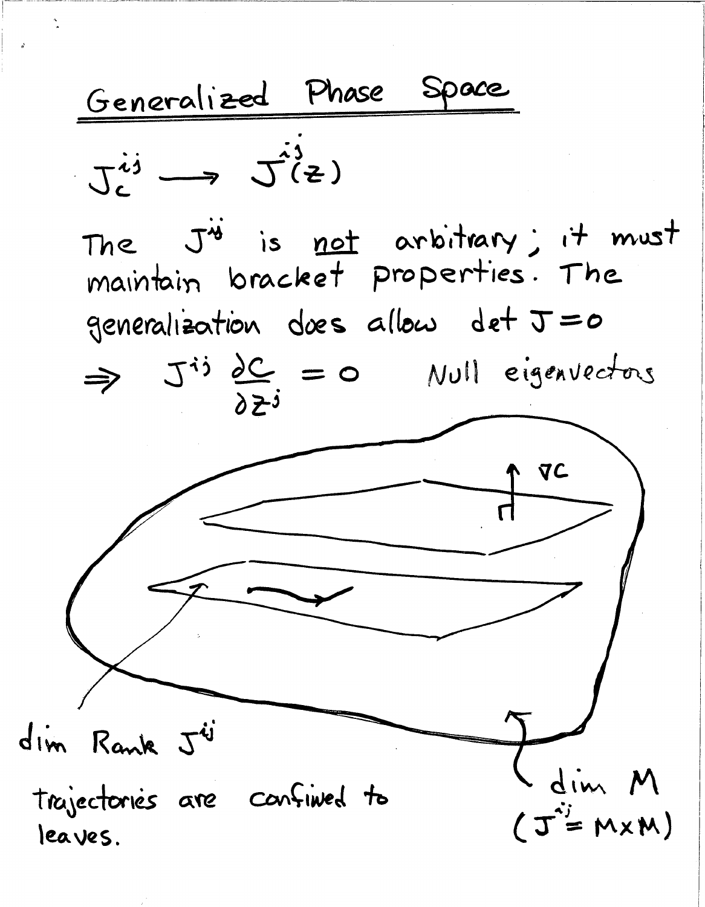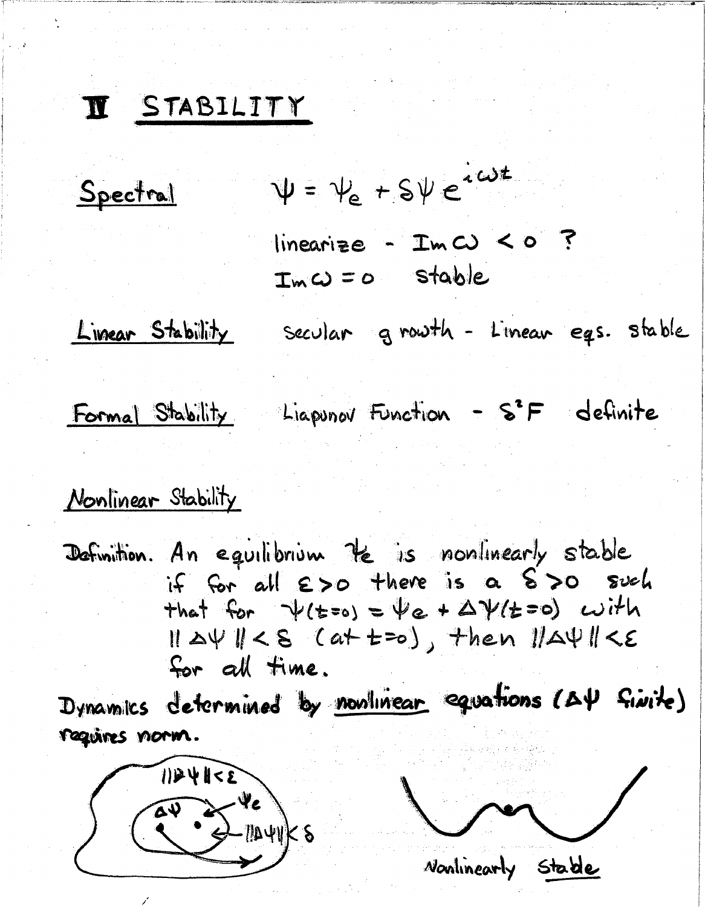## I STABILITY

Spectral

 $\Psi = \psi_e + \frac{1}{2} \psi e^{i \omega t}$ 

 $linearize - ImC) < 0$  ?  $Im \omega = 0$  stable

<u>Limear Stability</u>

secular growth - Linear egs. stable

*Nonlinearly* Stable

Formal Stability Liapunov Function - S<sup>2</sup>F definite

## Nonlinear Stability

Definition. An equilibrium the is nonlinearly stable if for all  $\epsilon$ >0 there is a  $\epsilon$ >0 such that for  $\psi$ (t=0) =  $\psi$ e +  $\Delta \psi$ (t=0) with  $||\Delta\Psi|| < S$  (at  $t = o$ ), then  $||\Delta\Psi|| < \epsilon$ for all time.

Dynamics determined by nonlinear equations (AY fivite) requires norm.

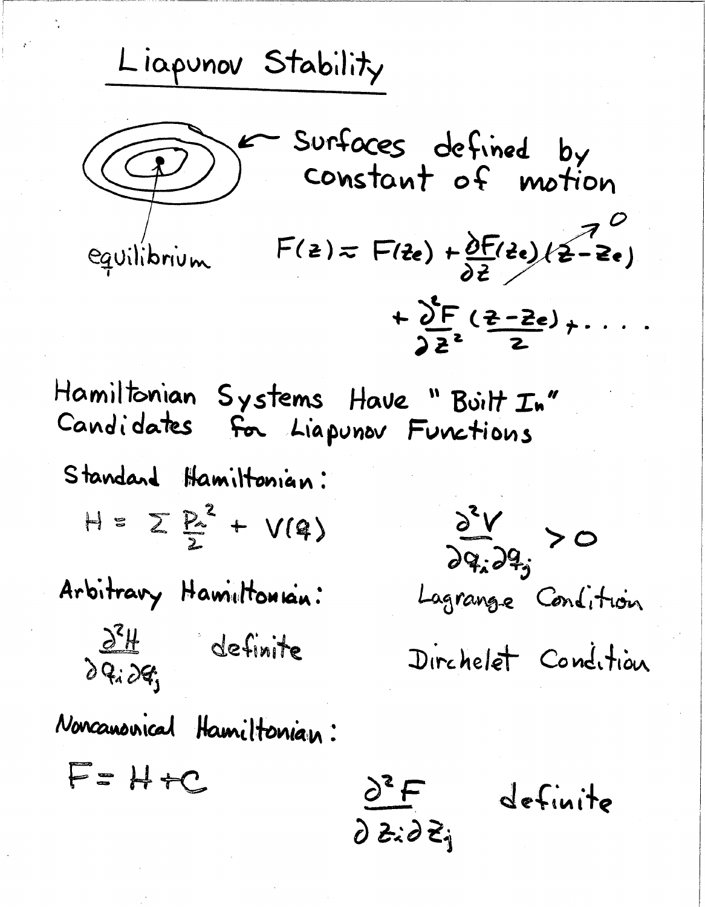Liapunov Stability Surfaces defined by<br>Constant of motion  $F(z) = F(z_0) + \frac{\partial F}{\partial z}(z_0)(z_0 - z_0)$ equilibrium  $+\sum_{\substack{2,2\\}}^{\infty} \frac{(z-2e)}{2} + \cdots$ Hamiltonian Systems Have "Built In" Candidates for Liapunov Functions Standard Hamiltonian:  $H = \sum \vec{k}^2 + V(4)$  $\frac{\partial^2 V}{\partial q_i \partial q_j} > 0$ Arbitrary Hamiltonian: Lagrange Condition  $\frac{\partial^2 H}{\partial q_i \partial q_i}$  definite Dirchelet Condition Noncanonical Hamiltonian:  $F = H + C$  $\frac{\partial^2 F}{\partial z_i \partial \overline{z}_i}$ definite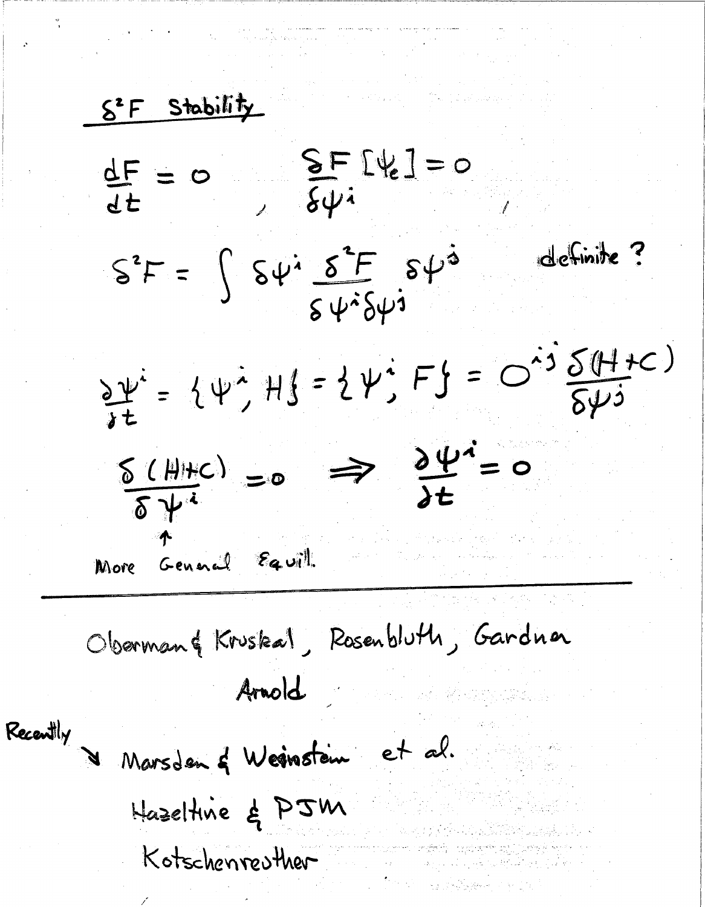S<sup>2</sup> F Stability  $\frac{SF}{6\psi i}$  $\frac{dF}{dt} = 0$ definite?  $S^2F = \int S\psi^i \frac{S^2F}{S\psi^2S\psi^3} S\psi^{\dot{\alpha}}$  $\frac{\partial \psi}{\partial t} = {\psi^{\lambda} + {\psi^{\lambda} + {\psi^{\lambda}}} = {\psi^{\lambda} + {\psi^{\lambda}}} F} = O^{\lambda 3} \frac{\delta (H + C)}{\delta \psi^{\lambda}}$  $\frac{\delta (\mathbf{H} + c)}{\delta \psi^{i}} = 0 \implies \frac{\partial \psi^{i}}{\partial t} = 0$ More General Equil Oberman& Kruskal, Rosenbluth, Gardna Arnold Recently Marsden & Weinstein et al. Hazeltine & PJM Kotschenreuther a na politica) ta Shelbara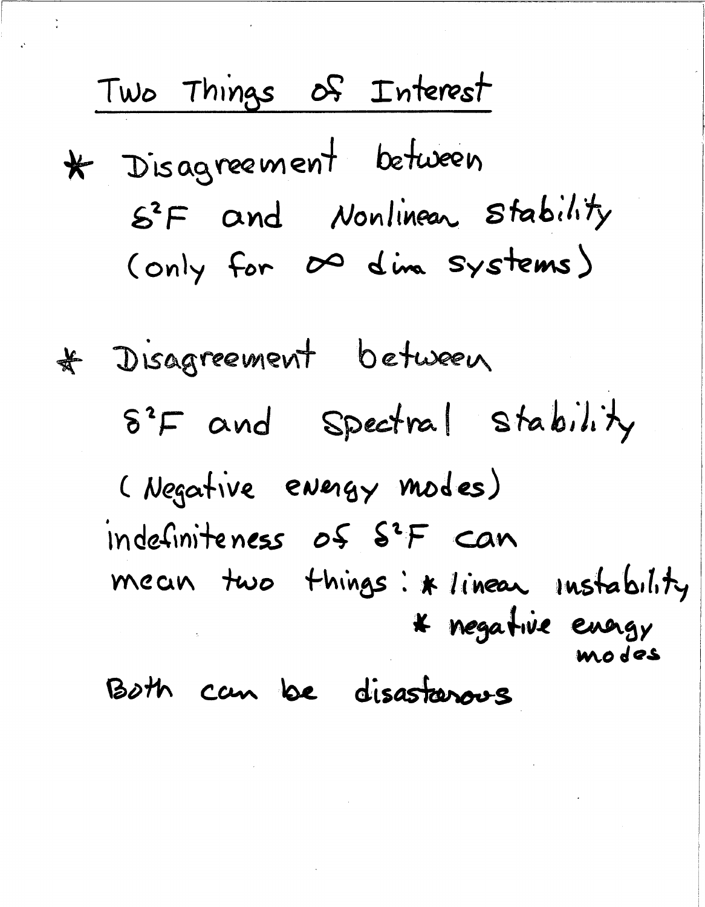Two Things of Interest \* Disagreement between S<sup>2</sup>F and Nonlinear Stability (only for  $\infty$  dina systems) # Disagreement between 8<sup>2</sup>F and Spectral stability (Negative energy modes) indefiniteness of S<sup>2</sup>F can mean two things: \* linear instability \* negative energy modes Both can be disastanous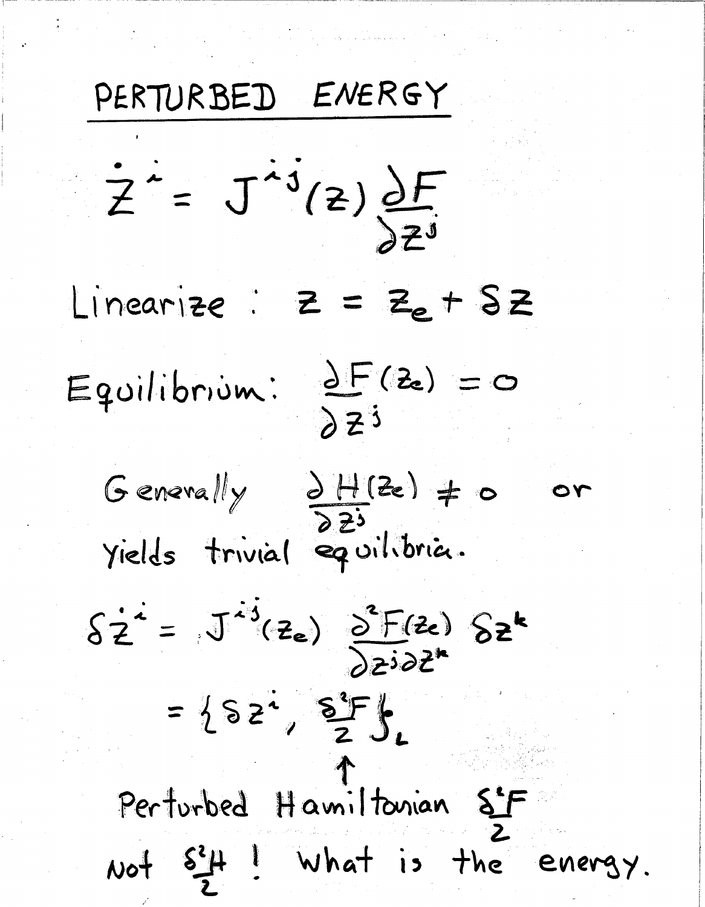PERTURBED ENERGY  $\dot{Z} = \dot{J}^{ij}(z) \frac{\partial F}{\partial z^{j}}$ Linearize :  $Z = Z_e + SZ$ Equilibrium:  $\frac{\partial F(z)}{\partial z^{3}} = 0$ Generally  $\frac{\partial H(z)}{\partial z^{3}}$  + 0 つん yields trivial equilibria.  $\delta z^i = J^{ij}(z_e) \frac{\delta^2 F(z_e)}{\delta z^i \delta z^k}$  $= 182, 8F.$ Perturbed Hamiltonian S'F Not  $s^2 + 1$  what is the energy.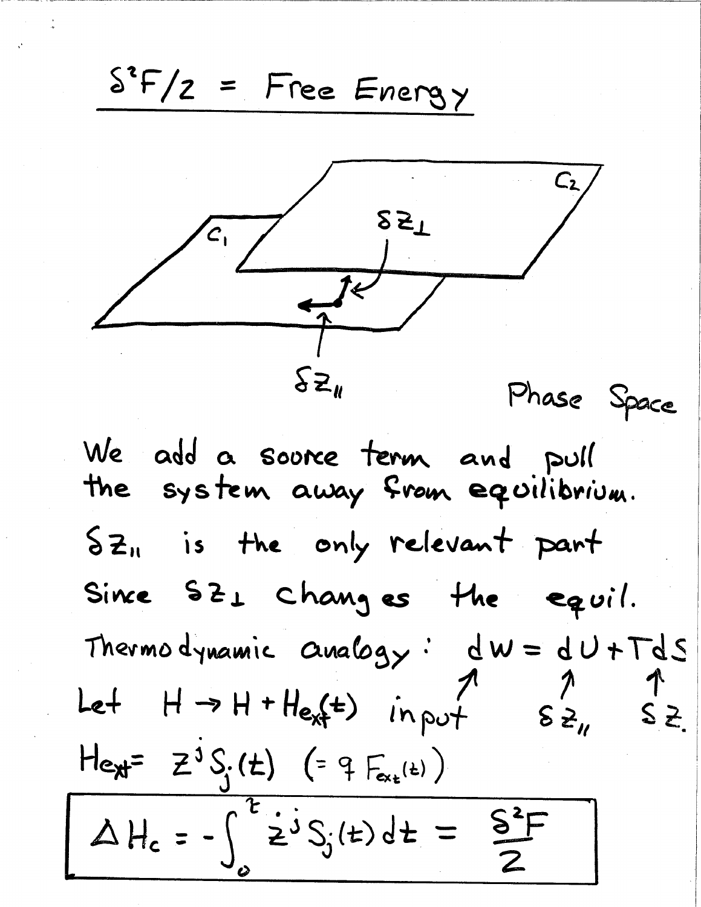$S^2F/Z = Free Energy$  $\sum_{\mu}$ Phase Space We add a source term and pull the system away from equilibrium.  $5z<sub>n</sub>$  is the only relevant part Since  $SL_1$  changes the equil. Thermodynamic  $a_{\text{wa}}logy$ :  $dw = dU + TdS$ Let  $H \rightarrow H + H_{e,f}t$  in put  $\overline{\epsilon}$   $\geq$ <sub>11</sub>  $S_{z}$ Hext =  $Z^3 S_i(t)$  (=  $4 F_{ex_{t}(t)}$ )  $\Delta H_c = -\int^2 \dot{z}^j S_j(t) dt = \frac{S^2 F}{2}$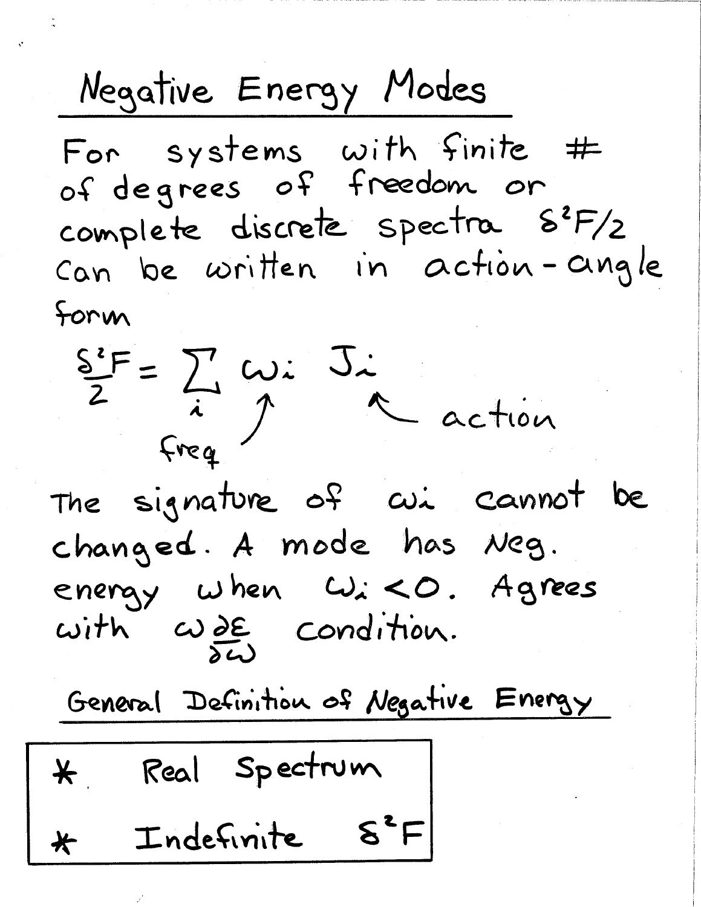Negative Energy Modes For systems with finite # of degrees of freedom or complete discrete spectra  $8^{2}F/2$ Can be written in action-angle Form



General Definition of Negative Energy

Real Spectrum  $\star$ Indefinite  $S^2F$  $\bigstar$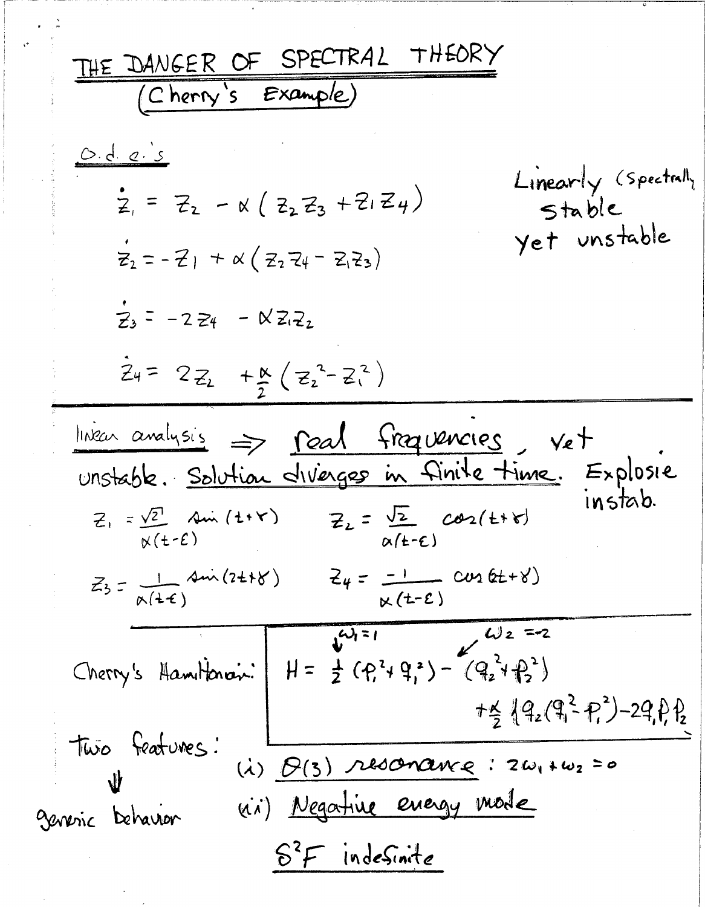THE DANGER OF SPECTRAL THEORY (Cherry's Example) <u>O.d. e. s</u> Linearly (Spectrall,  $Z_1 = Z_2 - x (Z_2 Z_3 + Z_1 Z_4)$ stable yet unstable  $\vec{z}_2 = -21 + \alpha (z_2 z_4 - z_1 z_3)$  $7.5 - 224 - 82.2$  $Z_{4} = 2Z_{2} + K_{2} (Z_{2}^{2} - Z_{1}^{2})$ linear analysis => real fraguencies, vet unstable. Solution diverges in finite time. Explosie instab.  $Z_1 = \frac{\sqrt{2}}{N(t-\epsilon)}$  Ain (t+r)  $Z_2 = \frac{\sqrt{2}}{N(t-\epsilon)}$  cos(t+r)  $\alpha(t-\epsilon)$  $Z_3 = \frac{1}{\alpha(1+\epsilon)}$   $\frac{1}{\alpha(1+\epsilon)}$   $\frac{1}{\alpha(1+\epsilon)}$   $\frac{1}{\alpha(1+\epsilon)}$   $\frac{1}{\alpha(1+\epsilon)}$   $\frac{1}{\alpha(1+\epsilon)}$  $\frac{1}{2}u_{1}=1$   $\frac{1}{2}u_{2}=2$ Cherry's Hamiltonian:  $H = \frac{1}{2} (P_1^2 + P_1^2) - (P_2^2 + P_2^2)$  $+24.92(93 - P)^2 - 29.89$ Two features: (i)  $B(3)$  resonance: 2 $\omega_1 + \omega_2 = o$  $\bf{u}$ vii) Negative energy mode generic behavior  $8<sup>2</sup>F$  indesinite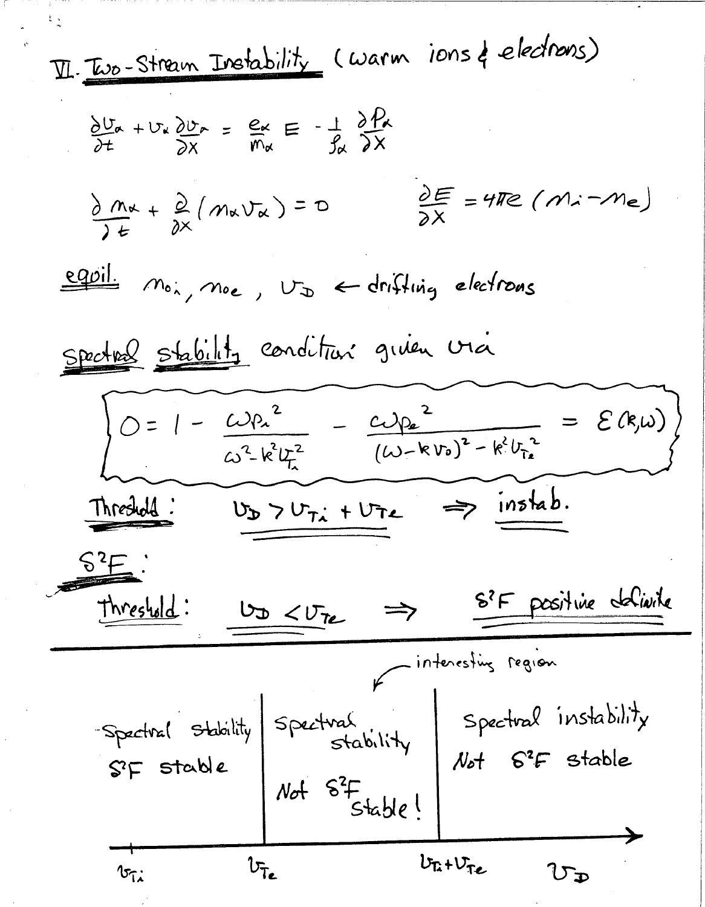11. Two-Sfram Ibrahim, Jwehability (warm ions)   
\n
$$
\frac{\partial U_{\alpha}}{\partial t} + U_{\alpha} \frac{\partial U_{\alpha}}{\partial x} = \frac{e_{\alpha}}{h} = -\frac{1}{2h} \frac{\partial P_{\alpha}}{\partial x}
$$
\n
$$
\frac{\partial M_{\alpha}}{\partial t} + \frac{\partial}{\partial x} (M_{\alpha}U_{\alpha}) = 0
$$
\n
$$
\frac{\partial E}{\partial x} = 4\pi e (M_{\alpha} - M_{\alpha})
$$
\nequil.  $M_{0,1}$ ,  $M_{0,2}$ ,  $U_{\infty} = -\frac{1}{2h} \frac{\partial E}{\partial x} = 4\pi e (M_{\alpha} - M_{\alpha})$   
\nequil.  $M_{0,1}$ ,  $M_{0,2}$ ,  $U_{\infty} = -\frac{1}{2h} \frac{\partial E}{\partial x} = 2\pi$   
\n
$$
0 = 1 - \frac{1}{2h} \frac{\partial P_{\alpha}}{\partial x} = -\frac{1}{2h} \frac{\partial P_{\alpha}}{\partial x} = -\frac{1}{2h} \frac{\partial P_{\alpha}}{\partial x} = 2\pi
$$
\n
$$
U_{\infty} = -\frac{1}{2h} \frac{\partial P_{\alpha}}{\partial x} = -\frac{1}{2h} \frac{\partial P_{\alpha}}{\partial x} = -\frac{1}{2h} \frac{\partial P_{\alpha}}{\partial x} = -\frac{1}{2h} \frac{\partial P_{\alpha}}{\partial x} = -\frac{1}{2h} \frac{\partial P_{\alpha}}{\partial x} = -\frac{1}{2h} \frac{\partial P_{\alpha}}{\partial x} = -\frac{1}{2h} \frac{\partial P_{\alpha}}{\partial x} = -\frac{1}{2h} \frac{\partial P_{\alpha}}{\partial x} = -\frac{1}{2h} \frac{\partial P_{\alpha}}{\partial x} = -\frac{1}{2h} \frac{\partial P_{\alpha}}{\partial x} = -\frac{1}{2h} \frac{\partial P_{\alpha}}{\partial x} = -\frac{1}{2h} \frac{\partial P_{\alpha}}{\partial x} = -\frac{1}{2h} \frac{\partial P_{\alpha}}{\partial x} = -\frac{1}{2h} \frac{\partial P_{\alpha}}{\partial x} = -\frac{1}{2h} \frac{\
$$

 $\sim 40^{\circ}$ 

 $\hat{\boldsymbol{\beta}}$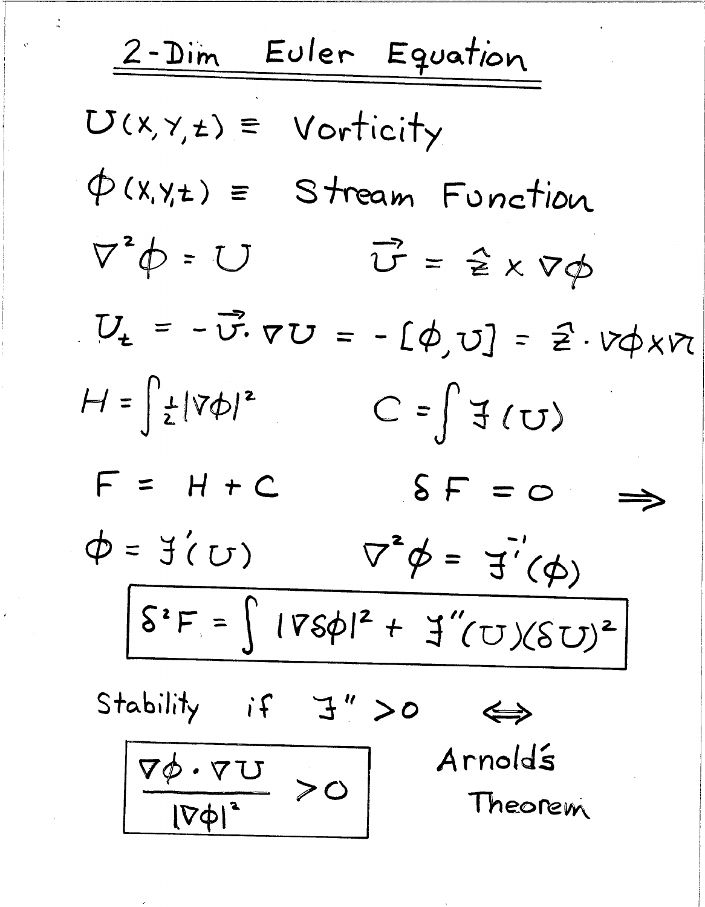Euler Equation  $2-Dim$  $U(x,y,z) = Vorticity$  $\phi$ (x,y,t) = Stream Function  $\nabla^2 \phi = U$  $\vec{U} = \hat{z} \times \nabla \phi$  $U_t = -\vec{v} \cdot \nabla U = -[\phi, v] = \vec{z} \cdot v \phi \times v$  $H = \left| \frac{1}{2} |\nabla \phi|^2 \right|$  $C = \int f(U)$  $F = H + C$  $\delta F = 0$  $\phi = \exists (U) \qquad \nabla^2 \phi = \exists ( \phi)$  $S^2F = \left[1\sqrt{560}I^2 + \frac{1}{2}(U)(SU)^2\right]$ Stability if  $J'' > 0$  $\Leftrightarrow$ Arnolds  $\frac{\nabla \phi \cdot \nabla U}{|\nabla \phi|^2} > O$ Theorem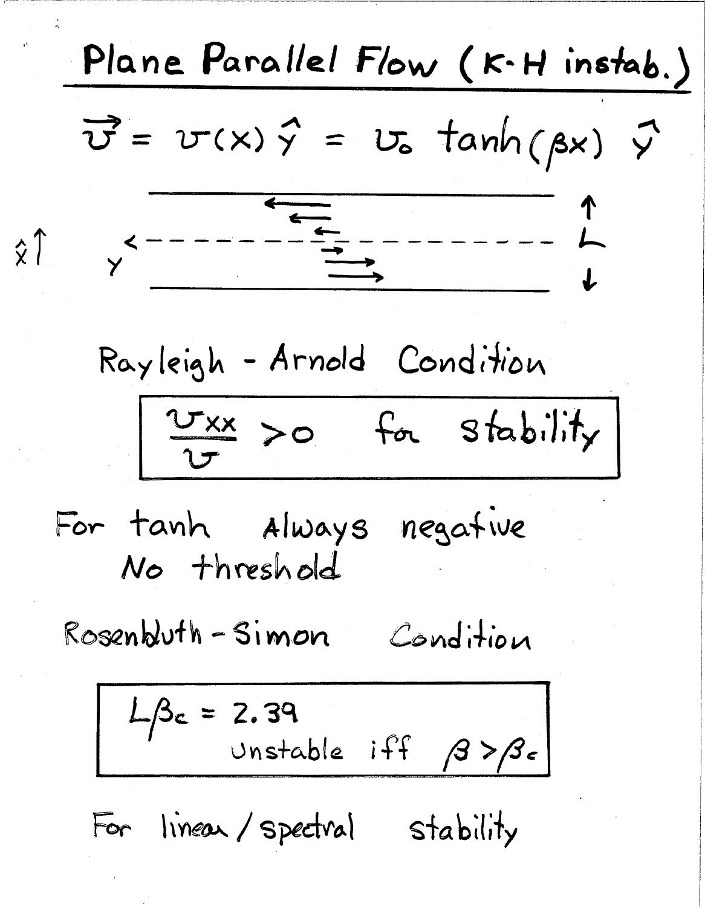Plane Parallel Flow (K-H instab.)  
\n
$$
\vec{v} = v(x) \vec{y} = v_0 \tanh(\beta x) \vec{y}
$$
\n
$$
\vec{y} = \frac{1}{\sqrt{2\pi}} \int_{0}^{1} \vec{y} = \frac{1}{\sqrt{2\pi}} \int_{0}^{1} \vec{y} = \frac{1}{\sqrt{2\pi}} \int_{0}^{1} \vec{y} = \frac{1}{\sqrt{2\pi}} \int_{0}^{1} \vec{y} = \frac{1}{\sqrt{2\pi}} \int_{0}^{1} \vec{y} = \frac{1}{\sqrt{2\pi}} \int_{0}^{1} \vec{y} = \frac{1}{\sqrt{2}} \int_{0}^{1} \vec{y} = \frac{1}{\sqrt{2}} \int_{0}^{1} \vec{y} = \frac{1}{\sqrt{2}} \int_{0}^{1} \vec{y} = \frac{1}{\sqrt{2}} \int_{0}^{1} \vec{y} = \frac{1}{\sqrt{2}} \int_{0}^{1} \vec{y} = \frac{1}{\sqrt{2}} \int_{0}^{1} \vec{y} = \frac{1}{\sqrt{2}} \int_{0}^{1} \vec{y} = \frac{1}{\sqrt{2}} \int_{0}^{1} \vec{y} = \frac{1}{\sqrt{2}} \int_{0}^{1} \vec{y} = \frac{1}{\sqrt{2}} \int_{0}^{1} \vec{y} = \frac{1}{\sqrt{2}} \int_{0}^{1} \vec{y} = \frac{1}{\sqrt{2}} \int_{0}^{1} \vec{y} = \frac{1}{\sqrt{2}} \int_{0}^{1} \vec{y} = \frac{1}{\sqrt{2}} \int_{0}^{1} \vec{y} = \frac{1}{\sqrt{2}} \int_{0}^{1} \vec{y} = \frac{1}{\sqrt{2}} \int_{0}^{1} \vec{y} = \frac{1}{\sqrt{2}} \int_{0}^{1} \vec{y} = \frac{1}{\sqrt{2}} \int_{0}^{1} \vec{y} = \frac{1}{\sqrt{2}} \int_{0}^{1} \vec{y} = \frac{1}{\sqrt{2}} \int_{0}^{1} \vec{y} = \frac{1}{\sqrt{2}} \int_{0}^{1} \vec{y} = \frac{1}{\sqrt{2}} \int_{0}^{1} \vec{y} = \frac{1}{\sqrt{2}} \int_{0}^{1} \
$$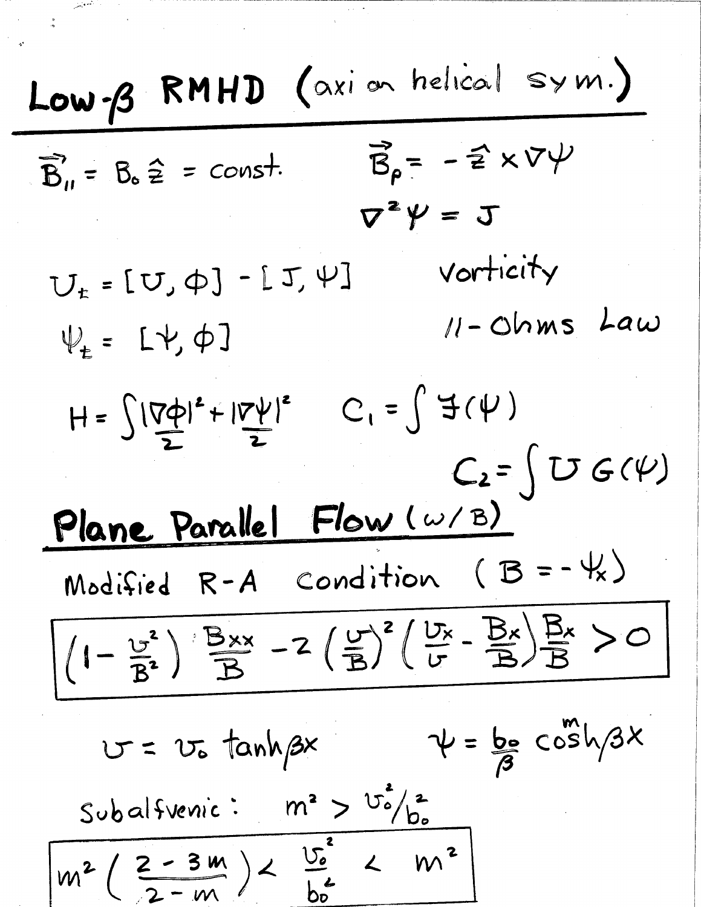Low-B RMHD (axi on helical sym.)  $\vec{B}_{\rho} = -\hat{z} \times \nabla \psi$  $\overrightarrow{B}_1$  =  $B_0 \hat{z}$  = const.  $\nabla^2 \Psi = \mathbf{J}$ vorticity  $U_{t}$  = [U,  $\phi$ ] - [J,  $\psi$ ]  $11$ - Ohms Law  $\Psi_{t}$  =  $L\psi_{t} \phi$ ]  $C_1 = \int f(\psi)$  $H = \int |\vec{V}\vec{\phi}|^2 + |\vec{V}\vec{\psi}|^2$  $C_2 = \left( U G(\psi) \right)$ Plane Parallel Flow (w/B) Modified  $R-A$  condition  $(B=-\frac{11}{16})$  $((-\frac{v^2}{B^2})\frac{B_{xx}}{B} - 2(\frac{v}{B})^2(\frac{U_x}{v} - \frac{B_x}{B})\frac{B_x}{B} > 0$  $\psi = \frac{b_0}{3}cosh/3x$  $U = U_0$  tanh  $\beta x$ Subalfvenic:  $m^2 > \frac{v_o^2}{b_o}$  $m^{2}(\frac{2-3m}{2-m})<\frac{U_{0}^{2}}{h^{2}}< m^{2}$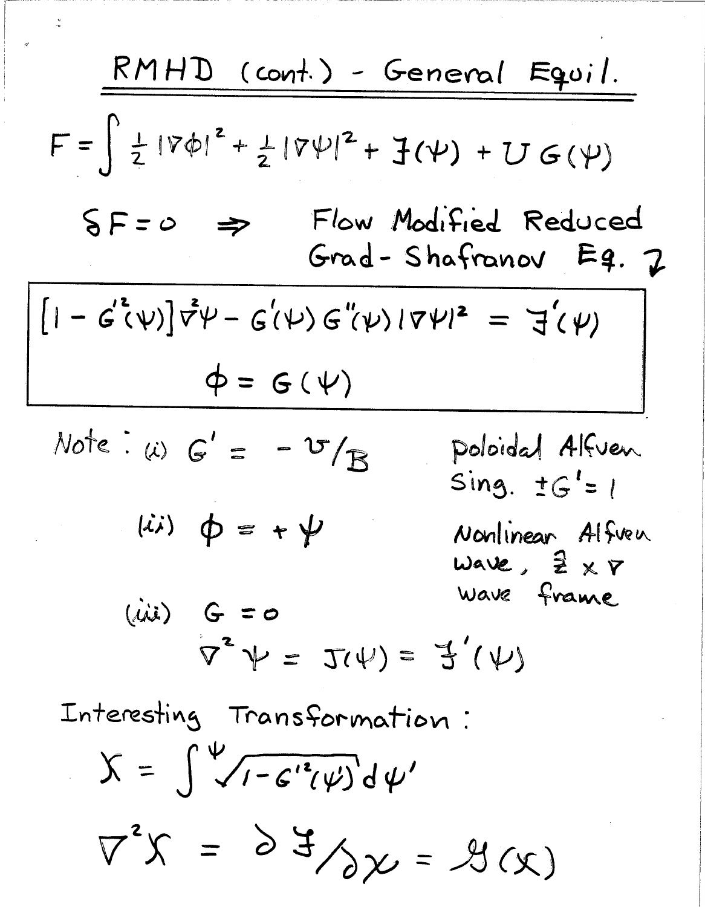| RMHD (cont.) - General Eqoi.                                                                          |
|-------------------------------------------------------------------------------------------------------|
| $F = \int \frac{1}{2}  \nabla \phi ^2 + \frac{1}{2}  \nabla \psi ^2 + \frac{1}{2} (\psi) + U G(\psi)$ |
| $S = 0 \Rightarrow$ Flow Modified Reduced<br>Grad - Shafranov Eq. 7                                   |
| $[1 - G^*(\psi)] \vec{\nabla} \psi - G^*(\psi) G^*(\psi)  \nabla \psi ^2 = \vec{J}(\psi)$             |
| $\psi = G(\psi)$                                                                                      |
| $Note : (\iota) G' = -\nabla / B$ <i>poloidal Affven</i>                                              |
| $(\iota i) \varphi = + \psi$ <i>Nonlinear Affven</i>                                                  |
| $(\iota i) \varphi = + \psi$ <i>Nonlinear Affven</i>                                                  |
| $(\iota i) G = 0$ <i>Wave frame</i>                                                                   |
| $(\iota i) G = 0$ <i>Wave frame</i>                                                                   |
| $\nabla^2 \psi = \vec{J}(\psi)$                                                                       |
| Intersling Transformation :<br>$X = \int \sqrt{1 - G^*(\psi)} d\psi'$                                 |
| $\nabla^2 X = \frac{\partial}{\partial} \vec{J} \wedge \chi = \mathcal{J}(\chi)$                      |

 $\frac{1}{2}$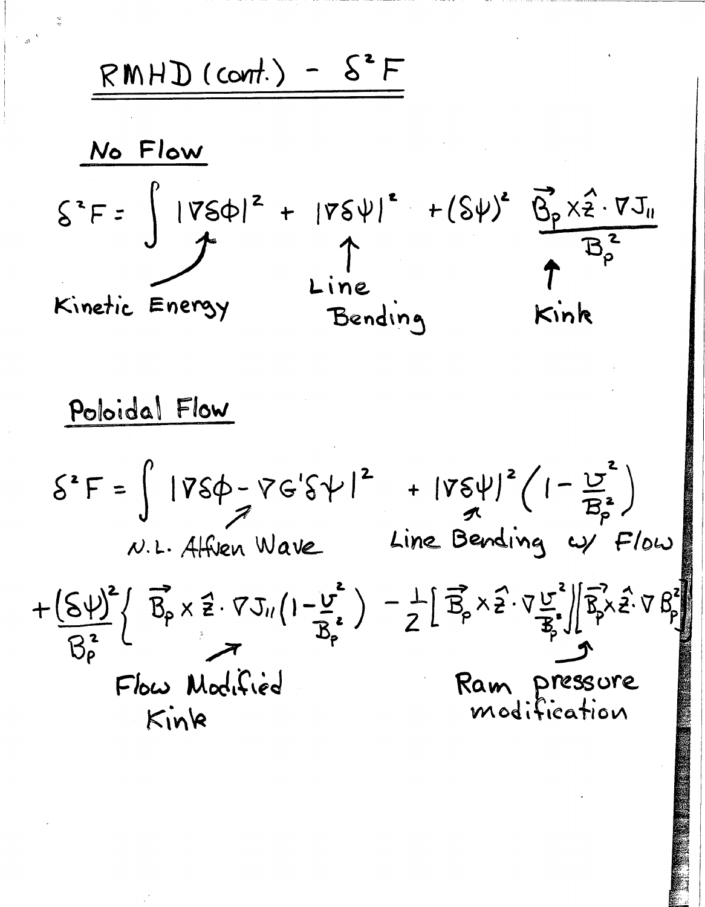$RMHD$  (cont.) -  $S^2F$ 



Poloidal Flow  $S^2F = \int |V S \phi - V G' S V|^2 + |V S V|^2 (1 - \frac{U^2}{B_P^2})$ <br>
N.L. Alfrien Wave Line Bending  $\omega$  Flow  $+\frac{(S\psi)^2}{B_p^2}\left\{\overrightarrow{B_p}\times\overrightarrow{z}\cdot\nabla J_{11}\left(1-\frac{v^2}{B_p^2}\right)-\frac{1}{2}\left[\overrightarrow{B_p}\times\overrightarrow{z}\cdot\nabla\frac{v^2}{B_p^2}\right]\left[\overrightarrow{B_p}\times\overrightarrow{z}\cdot\nabla B_p^2\right]$ Flow Modified Ram pressure modification Kink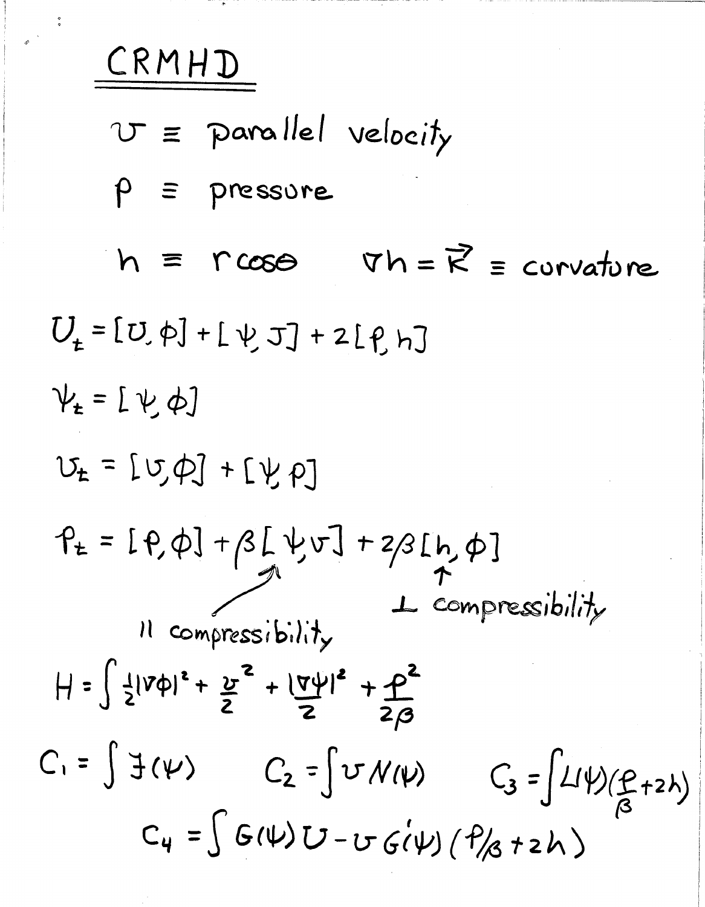CRMHD

 $U \equiv$  parallel velocity  $\rho$  = pressure  $h \equiv r \cos \theta$   $\forall h = \vec{k} \equiv \text{covariance}$  $U_{+}$  = [U, p] + [ $\psi$  J] + 2[ $\rho$  h]  $V_{t}$  = [ $\nu$   $\phi$ ]  $U_{t}$  =  $[U,\phi]$  +  $[V,\rho]$  $P_{t} = [P, \phi] + \beta [ \psi v] + 2\beta [h, \phi]$ 1 compressibility 11 compressibility  $H = \int \frac{1}{2} |V\phi|^2 + \frac{v^2}{2} + |\frac{\nabla \psi}{2}|^2 + \frac{\rho^2}{2\beta}$  $C_1 = \int f(\psi)$   $C_2 = \int v \, \mathcal{N}(\psi)$   $C_3 = \int L(\psi) (P_{+2} \psi)$  $C_{4} = \int G(\psi) U - U G(\psi) (f_{1/3} + zh)$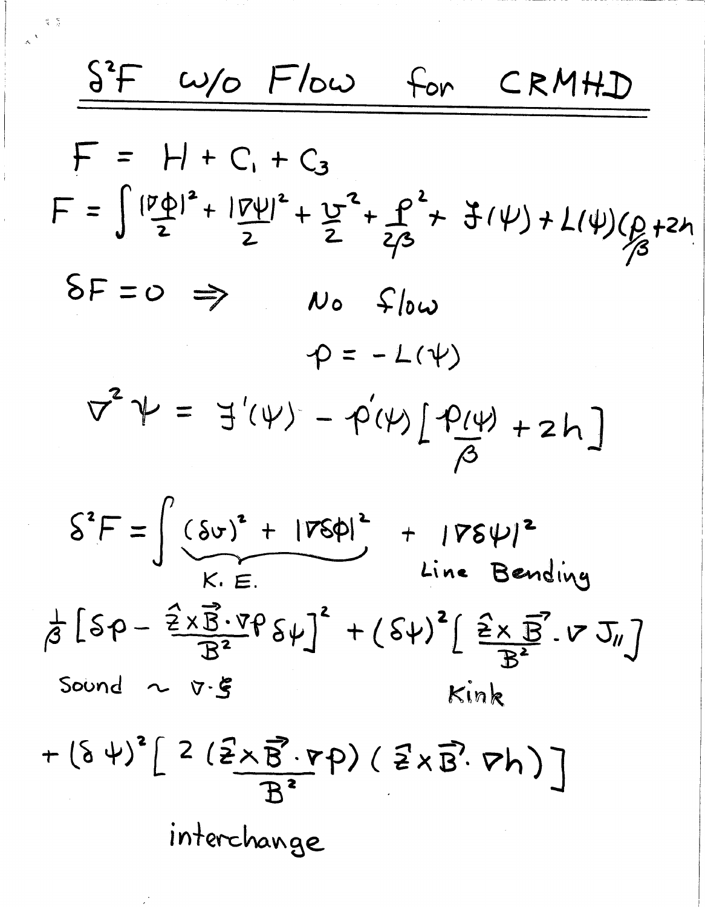S<sup>2</sup>F W/O Flow for CRMHD  $F = H + C_1 + C_3$  $F = \int \frac{|\nu \phi|^2 + |\nu \psi|^2}{2} + \frac{v^2}{2} + \frac{\rho^2}{2\beta} + \frac{v^2}{2\beta} + \frac{v^2}{2\beta} + \frac{v^2}{2\beta} + \frac{v^2}{2\beta} + \frac{v^2}{2\beta}$  $\delta F = 0 \Rightarrow$  $N$ o  $f|_{0}\omega$  $\varphi = -L(\psi)$  $\nabla^2 \Psi = \exists'(\Psi) - \varphi(\psi) [\Psi(\Psi) + 2h]$  $S^2F = \int' (Sv)^2 + |VSD|^2 + |VSDV|^2$ <br>Line Bending  $\frac{1}{\beta}\left[\delta\rho-\frac{\hat{z}\times\vec{B}\cdot\triangledown\rho}{R^2}\delta\psi\right]^2+\left(\delta\psi\right)^2\left[\frac{\hat{z}\times\vec{B}}{R^2}\cdot\nabla J_{\mathcal{U}}\right]$ Sound  $\sim$   $\nabla \cdot \xi$ Kink  $+(\delta\psi)^{2}\left[2(\frac{2}{2}\times\vec{B}\cdot\vec{p})(\frac{2}{2}\times\vec{B}\cdot\vec{p})\right]$ interchange